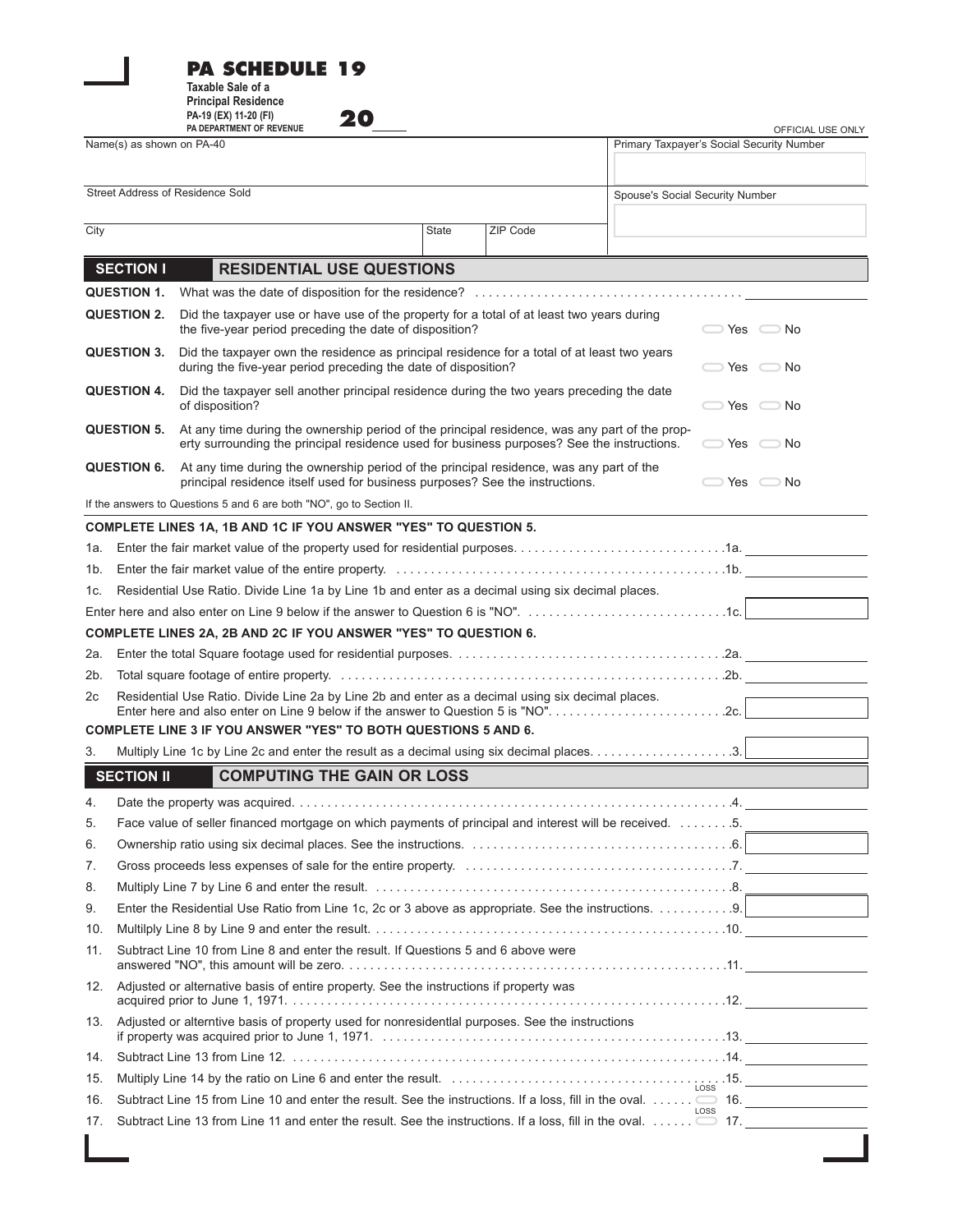|                                                                        |                                                                                                                | Taxable Sale of a<br><b>Principal Residence</b><br>PA-19 (EX) 11-20 (FI)<br>20<br>PA DEPARTMENT OF REVENUE                                                                                      |              |          |  | OFFICIAL USE ONLY                         |  |
|------------------------------------------------------------------------|----------------------------------------------------------------------------------------------------------------|-------------------------------------------------------------------------------------------------------------------------------------------------------------------------------------------------|--------------|----------|--|-------------------------------------------|--|
| Name(s) as shown on PA-40                                              |                                                                                                                |                                                                                                                                                                                                 |              |          |  | Primary Taxpayer's Social Security Number |  |
|                                                                        |                                                                                                                |                                                                                                                                                                                                 |              |          |  |                                           |  |
|                                                                        |                                                                                                                | Street Address of Residence Sold                                                                                                                                                                |              |          |  | Spouse's Social Security Number           |  |
| City                                                                   |                                                                                                                |                                                                                                                                                                                                 | <b>State</b> | ZIP Code |  |                                           |  |
|                                                                        |                                                                                                                |                                                                                                                                                                                                 |              |          |  |                                           |  |
|                                                                        | <b>SECTION I</b>                                                                                               | <b>RESIDENTIAL USE QUESTIONS</b>                                                                                                                                                                |              |          |  |                                           |  |
|                                                                        | QUESTION 1.                                                                                                    |                                                                                                                                                                                                 |              |          |  |                                           |  |
| <b>QUESTION 2.</b>                                                     |                                                                                                                | Did the taxpayer use or have use of the property for a total of at least two years during<br>the five-year period preceding the date of disposition?<br>$\Box$ Yes $\Box$ No                    |              |          |  |                                           |  |
| <b>QUESTION 3.</b>                                                     |                                                                                                                | Did the taxpayer own the residence as principal residence for a total of at least two years<br>during the five-year period preceding the date of disposition?<br>$\Box$ Yes $\Box$ No           |              |          |  |                                           |  |
| <b>QUESTION 4.</b>                                                     |                                                                                                                | Did the taxpayer sell another principal residence during the two years preceding the date<br>of disposition?                                                                                    |              |          |  | $\Box$ Yes $\Box$ No                      |  |
| <b>QUESTION 5.</b>                                                     |                                                                                                                | At any time during the ownership period of the principal residence, was any part of the prop-<br>erty surrounding the principal residence used for business purposes? See the instructions.     |              |          |  | $\Box$ Yes $\Box$ No                      |  |
| <b>QUESTION 6.</b>                                                     |                                                                                                                | At any time during the ownership period of the principal residence, was any part of the<br>principal residence itself used for business purposes? See the instructions.<br>$\Box$ Yes $\Box$ No |              |          |  |                                           |  |
|                                                                        |                                                                                                                | If the answers to Questions 5 and 6 are both "NO", go to Section II.                                                                                                                            |              |          |  |                                           |  |
|                                                                        |                                                                                                                | <b>COMPLETE LINES 1A, 1B AND 1C IF YOU ANSWER "YES" TO QUESTION 5.</b>                                                                                                                          |              |          |  |                                           |  |
|                                                                        |                                                                                                                |                                                                                                                                                                                                 |              |          |  |                                           |  |
|                                                                        |                                                                                                                |                                                                                                                                                                                                 |              |          |  |                                           |  |
| 1c. l                                                                  | Residential Use Ratio. Divide Line 1a by Line 1b and enter as a decimal using six decimal places.              |                                                                                                                                                                                                 |              |          |  |                                           |  |
|                                                                        |                                                                                                                |                                                                                                                                                                                                 |              |          |  |                                           |  |
| <b>COMPLETE LINES 2A, 2B AND 2C IF YOU ANSWER "YES" TO QUESTION 6.</b> |                                                                                                                |                                                                                                                                                                                                 |              |          |  |                                           |  |
| 2a.                                                                    |                                                                                                                |                                                                                                                                                                                                 |              |          |  |                                           |  |
| 2b.                                                                    |                                                                                                                |                                                                                                                                                                                                 |              |          |  |                                           |  |
| 2c                                                                     |                                                                                                                | Residential Use Ratio. Divide Line 2a by Line 2b and enter as a decimal using six decimal places.<br>Enter here and also enter on Line 9 below if the answer to Question 5 is "NO"2c.           |              |          |  |                                           |  |
| <b>COMPLETE LINE 3 IF YOU ANSWER "YES" TO BOTH QUESTIONS 5 AND 6.</b>  |                                                                                                                |                                                                                                                                                                                                 |              |          |  |                                           |  |
| 3.                                                                     |                                                                                                                |                                                                                                                                                                                                 |              |          |  |                                           |  |
|                                                                        | <b>SECTION II</b>                                                                                              | COMPUTING THE GAIN OR LOSS                                                                                                                                                                      |              |          |  |                                           |  |
| 4.                                                                     |                                                                                                                |                                                                                                                                                                                                 |              |          |  |                                           |  |
| 5.                                                                     |                                                                                                                | Face value of seller financed mortgage on which payments of principal and interest will be received. 5.                                                                                         |              |          |  |                                           |  |
| 6.                                                                     |                                                                                                                |                                                                                                                                                                                                 |              |          |  |                                           |  |
| 7.                                                                     |                                                                                                                |                                                                                                                                                                                                 |              |          |  |                                           |  |
| 8.                                                                     |                                                                                                                |                                                                                                                                                                                                 |              |          |  |                                           |  |
| 9.                                                                     |                                                                                                                |                                                                                                                                                                                                 |              |          |  |                                           |  |
| 10.                                                                    |                                                                                                                |                                                                                                                                                                                                 |              |          |  |                                           |  |
| 11.                                                                    | Subtract Line 10 from Line 8 and enter the result. If Questions 5 and 6 above were                             |                                                                                                                                                                                                 |              |          |  |                                           |  |
| 12.                                                                    | Adjusted or alternative basis of entire property. See the instructions if property was                         |                                                                                                                                                                                                 |              |          |  |                                           |  |
| 13.                                                                    | Adjusted or alterntive basis of property used for nonresidential purposes. See the instructions                |                                                                                                                                                                                                 |              |          |  |                                           |  |
| 14.                                                                    |                                                                                                                |                                                                                                                                                                                                 |              |          |  |                                           |  |
| 15.                                                                    |                                                                                                                |                                                                                                                                                                                                 |              |          |  |                                           |  |
| 16.                                                                    |                                                                                                                | LOSS                                                                                                                                                                                            |              |          |  |                                           |  |
| 17.                                                                    | Subtract Line 13 from Line 11 and enter the result. See the instructions. If a loss, fill in the oval.  is 17. |                                                                                                                                                                                                 |              |          |  |                                           |  |

**PA SCHEDULE 19**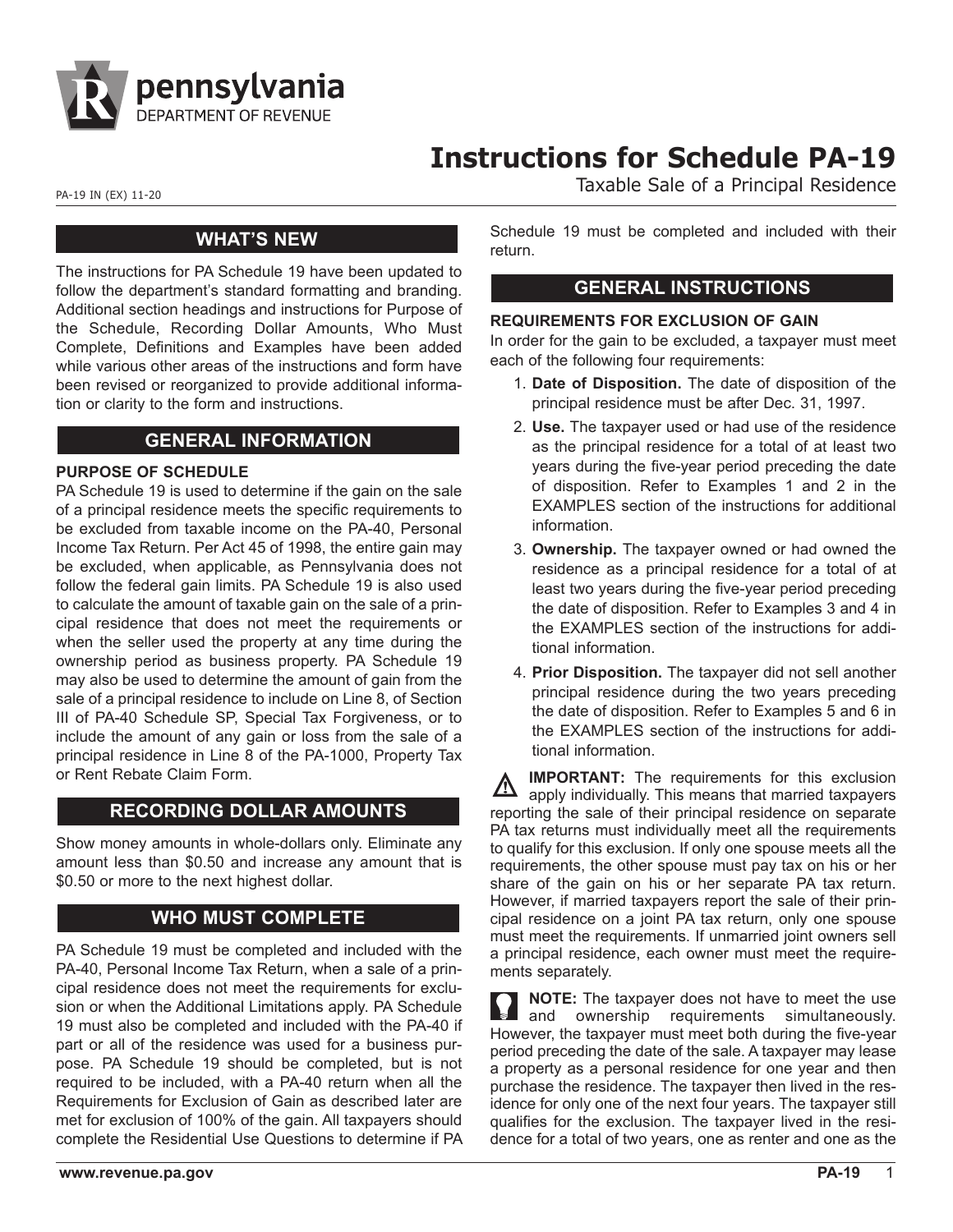

# **Instructions for Schedule PA-19**

PA-19 IN (EX) 11-20 PA-19 IN (EX) 11-20

### **WHAT'S NEW**

The instructions for PA Schedule 19 have been updated to follow the department's standard formatting and branding. Additional section headings and instructions for Purpose of the Schedule, Recording Dollar Amounts, Who Must Complete, Definitions and Examples have been added while various other areas of the instructions and form have been revised or reorganized to provide additional information or clarity to the form and instructions.

# **GENERAL INFORMATION**

#### **PURPOSE OF SCHEDULE**

PA Schedule 19 is used to determine if the gain on the sale of a principal residence meets the specific requirements to be excluded from taxable income on the PA-40, Personal Income Tax Return. Per Act 45 of 1998, the entire gain may be excluded, when applicable, as Pennsylvania does not follow the federal gain limits. PA Schedule 19 is also used to calculate the amount of taxable gain on the sale of a principal residence that does not meet the requirements or when the seller used the property at any time during the ownership period as business property. PA Schedule 19 may also be used to determine the amount of gain from the sale of a principal residence to include on Line 8, of Section III of PA-40 Schedule SP, Special Tax Forgiveness, or to include the amount of any gain or loss from the sale of a principal residence in Line 8 of the PA-1000, Property Tax or Rent Rebate Claim Form.

# **RECORDING DOLLAR AMOUNTS**

Show money amounts in whole-dollars only. Eliminate any amount less than \$0.50 and increase any amount that is \$0.50 or more to the next highest dollar.

# **WHO MUST COMPLETE**

PA Schedule 19 must be completed and included with the PA-40, Personal Income Tax Return, when a sale of a principal residence does not meet the requirements for exclusion or when the Additional Limitations apply. PA Schedule 19 must also be completed and included with the PA-40 if part or all of the residence was used for a business purpose. PA Schedule 19 should be completed, but is not required to be included, with a PA-40 return when all the Requirements for Exclusion of Gain as described later are met for exclusion of 100% of the gain. All taxpayers should complete the Residential Use Questions to determine if PA Schedule 19 must be completed and included with their return.

# **GENERAL INSTRUCTIONS**

#### **REQUIREMENTS FOR EXCLUSION OF GAIN**

In order for the gain to be excluded, a taxpayer must meet each of the following four requirements:

- 1. **Date of Disposition.** The date of disposition of the principal residence must be after Dec. 31, 1997.
- 2. **Use.** The taxpayer used or had use of the residence as the principal residence for a total of at least two years during the five-year period preceding the date of disposition. Refer to Examples 1 and 2 in the EXAMPLES section of the instructions for additional information.
- 3. **Ownership.** The taxpayer owned or had owned the residence as a principal residence for a total of at least two years during the five-year period preceding the date of disposition. Refer to Examples 3 and 4 in the EXAMPLES section of the instructions for additional information.
- 4. **Prior Disposition.** The taxpayer did not sell another principal residence during the two years preceding the date of disposition. Refer to Examples 5 and 6 in the EXAMPLES section of the instructions for additional information.

**IMPORTANT:** The requirements for this exclusion apply individually. This means that married taxpayers reporting the sale of their principal residence on separate PA tax returns must individually meet all the requirements to qualify for this exclusion. If only one spouse meets all the requirements, the other spouse must pay tax on his or her share of the gain on his or her separate PA tax return. However, if married taxpayers report the sale of their principal residence on a joint PA tax return, only one spouse must meet the requirements. If unmarried joint owners sell a principal residence, each owner must meet the requirements separately.

**NOTE:** The taxpayer does not have to meet the use and ownership requirements simultaneously. However, the taxpayer must meet both during the five-year period preceding the date of the sale. A taxpayer may lease a property as a personal residence for one year and then purchase the residence. The taxpayer then lived in the residence for only one of the next four years. The taxpayer still qualifies for the exclusion. The taxpayer lived in the residence for a total of two years, one as renter and one as the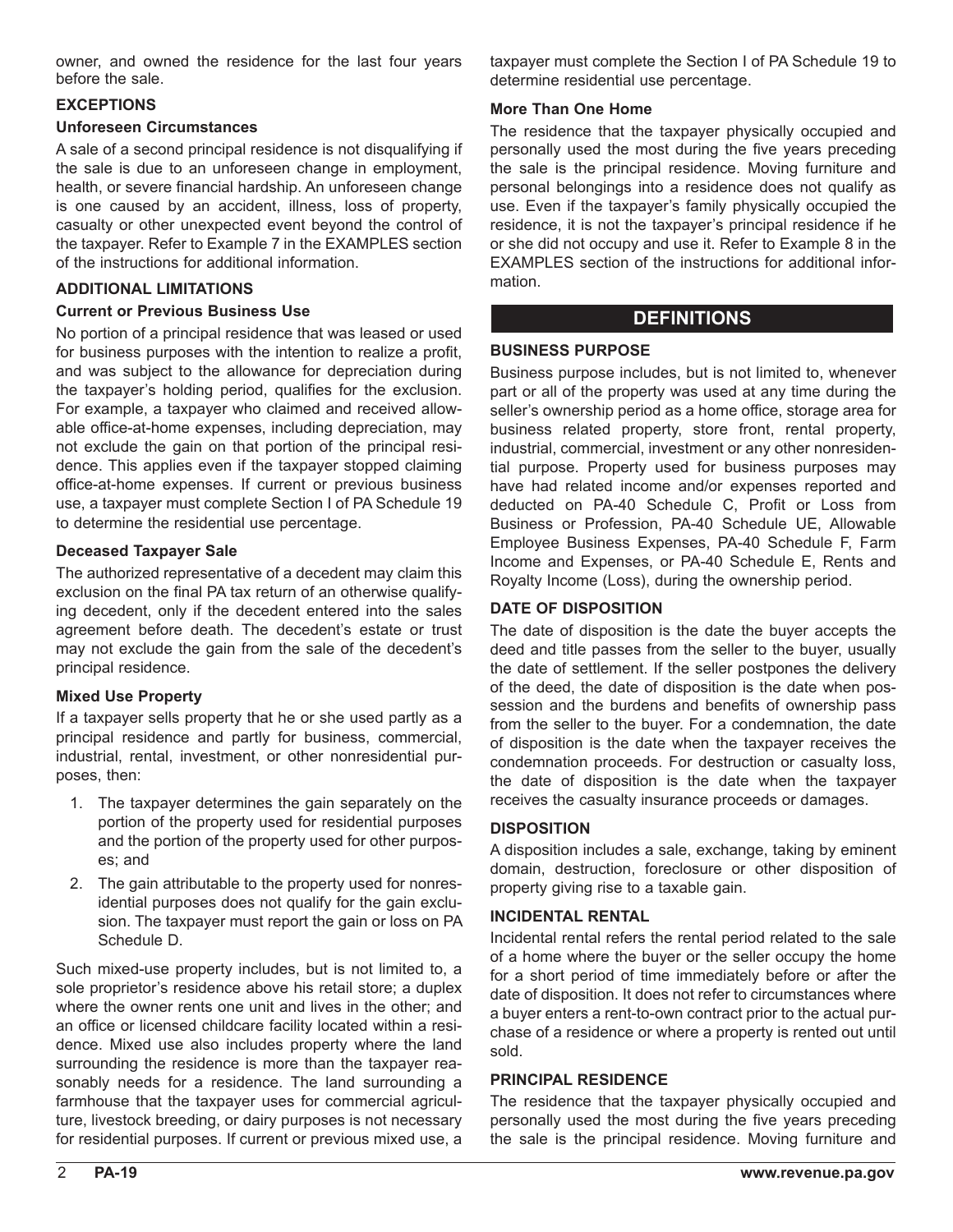owner, and owned the residence for the last four years before the sale.

#### **EXCEPTIONS**

#### **Unforeseen Circumstances**

A sale of a second principal residence is not disqualifying if the sale is due to an unforeseen change in employment, health, or severe financial hardship. An unforeseen change is one caused by an accident, illness, loss of property, casualty or other unexpected event beyond the control of the taxpayer. Refer to Example 7 in the EXAMPLES section of the instructions for additional information.

#### **ADDITIONAL LIMITATIONS**

#### **Current or Previous Business Use**

No portion of a principal residence that was leased or used for business purposes with the intention to realize a profit, and was subject to the allowance for depreciation during the taxpayer's holding period, qualifies for the exclusion. For example, a taxpayer who claimed and received allowable office-at-home expenses, including depreciation, may not exclude the gain on that portion of the principal residence. This applies even if the taxpayer stopped claiming office-at-home expenses. If current or previous business use, a taxpayer must complete Section I of PA Schedule 19 to determine the residential use percentage.

#### **Deceased Taxpayer Sale**

The authorized representative of a decedent may claim this exclusion on the final PA tax return of an otherwise qualifying decedent, only if the decedent entered into the sales agreement before death. The decedent's estate or trust may not exclude the gain from the sale of the decedent's principal residence.

#### **Mixed Use Property**

If a taxpayer sells property that he or she used partly as a principal residence and partly for business, commercial, industrial, rental, investment, or other nonresidential purposes, then:

- 1. The taxpayer determines the gain separately on the portion of the property used for residential purposes and the portion of the property used for other purposes; and
- 2. The gain attributable to the property used for nonresidential purposes does not qualify for the gain exclusion. The taxpayer must report the gain or loss on PA Schedule D.

Such mixed-use property includes, but is not limited to, a sole proprietor's residence above his retail store; a duplex where the owner rents one unit and lives in the other; and an office or licensed childcare facility located within a residence. Mixed use also includes property where the land surrounding the residence is more than the taxpayer reasonably needs for a residence. The land surrounding a farmhouse that the taxpayer uses for commercial agriculture, livestock breeding, or dairy purposes is not necessary for residential purposes. If current or previous mixed use, a

taxpayer must complete the Section I of PA Schedule 19 to determine residential use percentage.

#### **More Than One Home**

The residence that the taxpayer physically occupied and personally used the most during the five years preceding the sale is the principal residence. Moving furniture and personal belongings into a residence does not qualify as use. Even if the taxpayer's family physically occupied the residence, it is not the taxpayer's principal residence if he or she did not occupy and use it. Refer to Example 8 in the EXAMPLES section of the instructions for additional information.

### **DEFINITIONS**

### **BUSINESS PURPOSE**

Business purpose includes, but is not limited to, whenever part or all of the property was used at any time during the seller's ownership period as a home office, storage area for business related property, store front, rental property, industrial, commercial, investment or any other nonresidential purpose. Property used for business purposes may have had related income and/or expenses reported and deducted on PA-40 Schedule C, Profit or Loss from Business or Profession, PA-40 Schedule UE, Allowable Employee Business Expenses, PA-40 Schedule F, Farm Income and Expenses, or PA-40 Schedule E, Rents and Royalty Income (Loss), during the ownership period.

### **DATE OF DISPOSITION**

The date of disposition is the date the buyer accepts the deed and title passes from the seller to the buyer, usually the date of settlement. If the seller postpones the delivery of the deed, the date of disposition is the date when possession and the burdens and benefits of ownership pass from the seller to the buyer. For a condemnation, the date of disposition is the date when the taxpayer receives the condemnation proceeds. For destruction or casualty loss, the date of disposition is the date when the taxpayer receives the casualty insurance proceeds or damages.

#### **DISPOSITION**

A disposition includes a sale, exchange, taking by eminent domain, destruction, foreclosure or other disposition of property giving rise to a taxable gain.

#### **INCIDENTAL RENTAL**

Incidental rental refers the rental period related to the sale of a home where the buyer or the seller occupy the home for a short period of time immediately before or after the date of disposition. It does not refer to circumstances where a buyer enters a rent-to-own contract prior to the actual purchase of a residence or where a property is rented out until sold.

#### **PRINCIPAL RESIDENCE**

The residence that the taxpayer physically occupied and personally used the most during the five years preceding the sale is the principal residence. Moving furniture and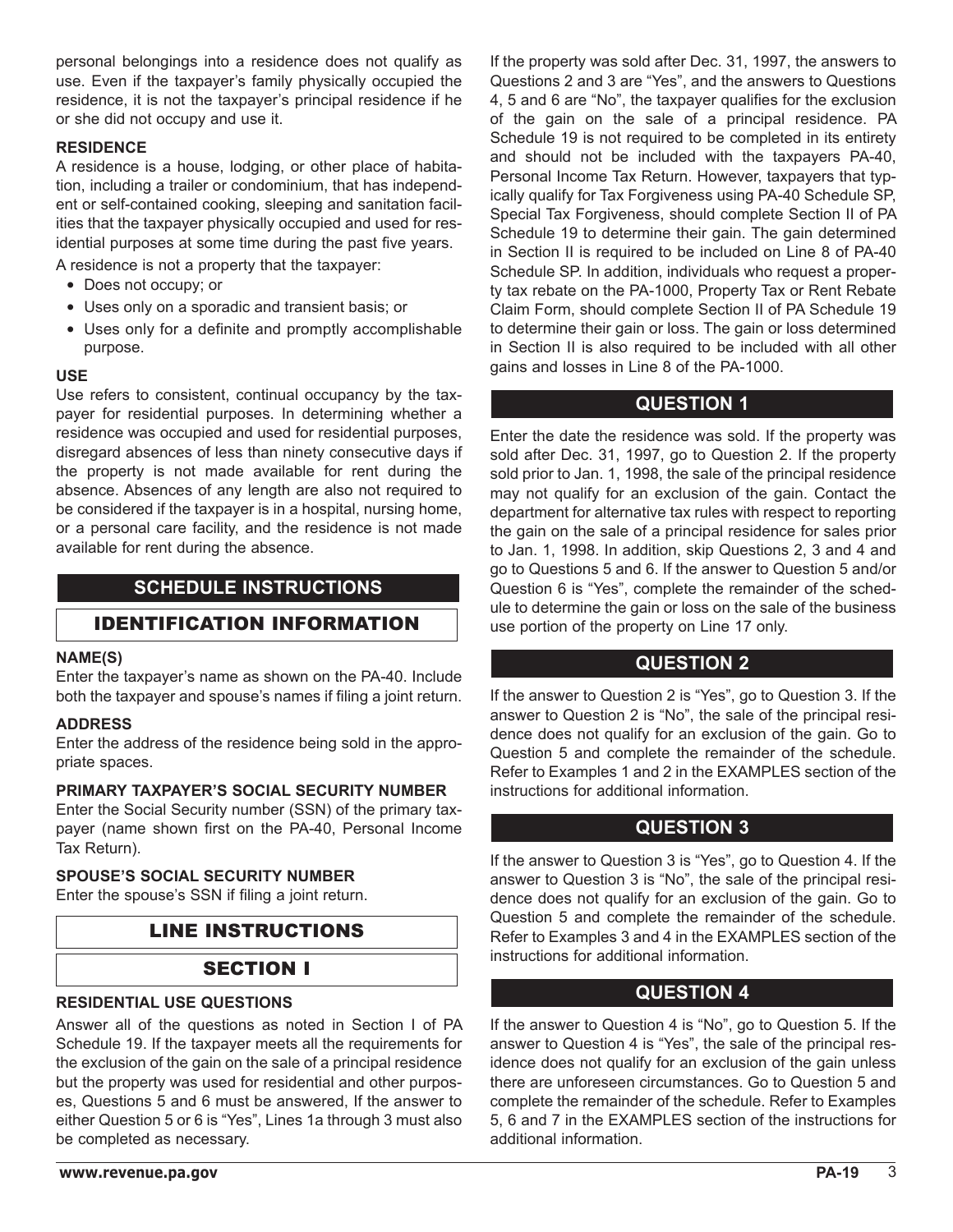personal belongings into a residence does not qualify as use. Even if the taxpayer's family physically occupied the residence, it is not the taxpayer's principal residence if he or she did not occupy and use it.

#### **RESIDENCE**

A residence is a house, lodging, or other place of habitation, including a trailer or condominium, that has independent or self-contained cooking, sleeping and sanitation facilities that the taxpayer physically occupied and used for residential purposes at some time during the past five years.

A residence is not a property that the taxpayer:

- Does not occupy; or
- Uses only on a sporadic and transient basis; or
- Uses only for a definite and promptly accomplishable purpose.

#### **USE**

Use refers to consistent, continual occupancy by the taxpayer for residential purposes. In determining whether a residence was occupied and used for residential purposes, disregard absences of less than ninety consecutive days if the property is not made available for rent during the absence. Absences of any length are also not required to be considered if the taxpayer is in a hospital, nursing home, or a personal care facility, and the residence is not made available for rent during the absence.

# **SCHEDULE INSTRUCTIONS**

### IDENTIFICATION INFORMATION

#### **NAME(S)**

Enter the taxpayer's name as shown on the PA-40. Include both the taxpayer and spouse's names if filing a joint return.

#### **ADDRESS**

Enter the address of the residence being sold in the appropriate spaces.

#### **PRIMARY TAXPAYER'S SOCIAL SECURITY NUMBER**

Enter the Social Security number (SSN) of the primary taxpayer (name shown first on the PA-40, Personal Income Tax Return).

### **SPOUSE'S SOCIAL SECURITY NUMBER**

Enter the spouse's SSN if filing a joint return.

# LINE INSTRUCTIONS

### SECTION I

#### **RESIDENTIAL USE QUESTIONS**

Answer all of the questions as noted in Section I of PA Schedule 19. If the taxpayer meets all the requirements for the exclusion of the gain on the sale of a principal residence but the property was used for residential and other purposes, Questions 5 and 6 must be answered, If the answer to either Question 5 or 6 is "Yes", Lines 1a through 3 must also be completed as necessary.

If the property was sold after Dec. 31, 1997, the answers to Questions 2 and 3 are "Yes", and the answers to Questions 4, 5 and 6 are "No", the taxpayer qualifies for the exclusion of the gain on the sale of a principal residence. PA Schedule 19 is not required to be completed in its entirety and should not be included with the taxpayers PA-40, Personal Income Tax Return. However, taxpayers that typically qualify for Tax Forgiveness using PA-40 Schedule SP, Special Tax Forgiveness, should complete Section II of PA Schedule 19 to determine their gain. The gain determined in Section II is required to be included on Line 8 of PA-40 Schedule SP. In addition, individuals who request a property tax rebate on the PA-1000, Property Tax or Rent Rebate Claim Form, should complete Section II of PA Schedule 19 to determine their gain or loss. The gain or loss determined in Section II is also required to be included with all other gains and losses in Line 8 of the PA-1000.

# **QUESTION 1**

Enter the date the residence was sold. If the property was sold after Dec. 31, 1997, go to Question 2. If the property sold prior to Jan. 1, 1998, the sale of the principal residence may not qualify for an exclusion of the gain. Contact the department for alternative tax rules with respect to reporting the gain on the sale of a principal residence for sales prior to Jan. 1, 1998. In addition, skip Questions 2, 3 and 4 and go to Questions 5 and 6. If the answer to Question 5 and/or Question 6 is "Yes", complete the remainder of the schedule to determine the gain or loss on the sale of the business use portion of the property on Line 17 only.

# **QUESTION 2**

If the answer to Question 2 is "Yes", go to Question 3. If the answer to Question 2 is "No", the sale of the principal residence does not qualify for an exclusion of the gain. Go to Question 5 and complete the remainder of the schedule. Refer to Examples 1 and 2 in the EXAMPLES section of the instructions for additional information.

### **QUESTION 3**

If the answer to Question 3 is "Yes", go to Question 4. If the answer to Question 3 is "No", the sale of the principal residence does not qualify for an exclusion of the gain. Go to Question 5 and complete the remainder of the schedule. Refer to Examples 3 and 4 in the EXAMPLES section of the instructions for additional information.

### **QUESTION 4**

If the answer to Question 4 is "No", go to Question 5. If the answer to Question 4 is "Yes", the sale of the principal residence does not qualify for an exclusion of the gain unless there are unforeseen circumstances. Go to Question 5 and complete the remainder of the schedule. Refer to Examples 5, 6 and 7 in the EXAMPLES section of the instructions for additional information.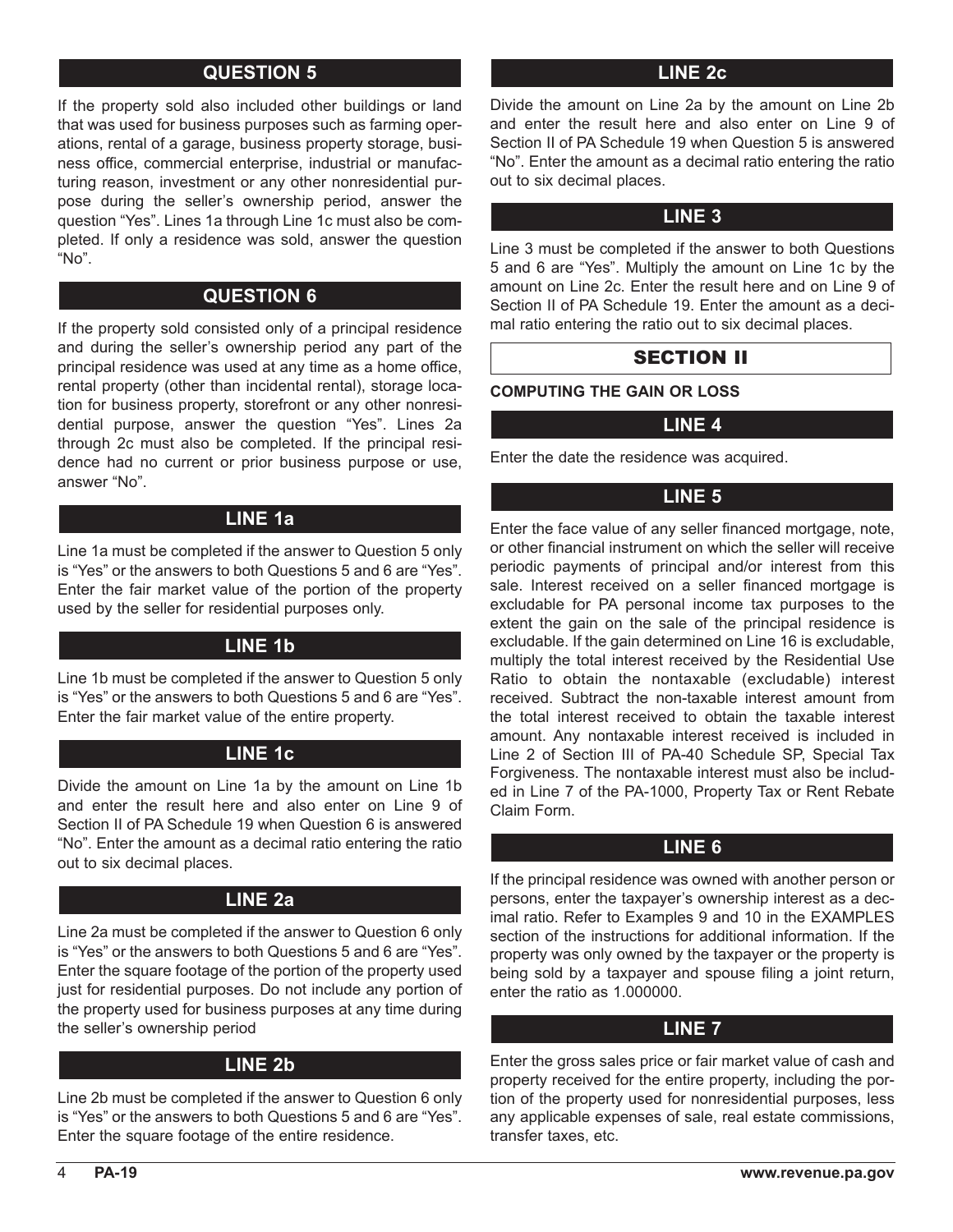# **QUESTION 5**

If the property sold also included other buildings or land that was used for business purposes such as farming operations, rental of a garage, business property storage, business office, commercial enterprise, industrial or manufacturing reason, investment or any other nonresidential purpose during the seller's ownership period, answer the question "Yes". Lines 1a through Line 1c must also be completed. If only a residence was sold, answer the question "No".

# **QUESTION 6**

If the property sold consisted only of a principal residence and during the seller's ownership period any part of the principal residence was used at any time as a home office, rental property (other than incidental rental), storage location for business property, storefront or any other nonresidential purpose, answer the question "Yes". Lines 2a through 2c must also be completed. If the principal residence had no current or prior business purpose or use, answer "No".

### **LINE 1a**

Line 1a must be completed if the answer to Question 5 only is "Yes" or the answers to both Questions 5 and 6 are "Yes". Enter the fair market value of the portion of the property used by the seller for residential purposes only.

# **LINE 1b**

Line 1b must be completed if the answer to Question 5 only is "Yes" or the answers to both Questions 5 and 6 are "Yes". Enter the fair market value of the entire property.

### **LINE 1c**

Divide the amount on Line 1a by the amount on Line 1b and enter the result here and also enter on Line 9 of Section II of PA Schedule 19 when Question 6 is answered "No". Enter the amount as a decimal ratio entering the ratio out to six decimal places.

# **LINE 2a**

Line 2a must be completed if the answer to Question 6 only is "Yes" or the answers to both Questions 5 and 6 are "Yes". Enter the square footage of the portion of the property used just for residential purposes. Do not include any portion of the property used for business purposes at any time during the seller's ownership period

### **LINE 2b**

Line 2b must be completed if the answer to Question 6 only is "Yes" or the answers to both Questions 5 and 6 are "Yes". Enter the square footage of the entire residence.

### **LINE 2c**

Divide the amount on Line 2a by the amount on Line 2b and enter the result here and also enter on Line 9 of Section II of PA Schedule 19 when Question 5 is answered "No". Enter the amount as a decimal ratio entering the ratio out to six decimal places.

### **LINE 3**

Line 3 must be completed if the answer to both Questions 5 and 6 are "Yes". Multiply the amount on Line 1c by the amount on Line 2c. Enter the result here and on Line 9 of Section II of PA Schedule 19. Enter the amount as a decimal ratio entering the ratio out to six decimal places.

### SECTION II

**COMPUTING THE GAIN OR LOSS** 

### **LINE 4**

Enter the date the residence was acquired.

# **LINE 5**

Enter the face value of any seller financed mortgage, note, or other financial instrument on which the seller will receive periodic payments of principal and/or interest from this sale. Interest received on a seller financed mortgage is excludable for PA personal income tax purposes to the extent the gain on the sale of the principal residence is excludable. If the gain determined on Line 16 is excludable, multiply the total interest received by the Residential Use Ratio to obtain the nontaxable (excludable) interest received. Subtract the non-taxable interest amount from the total interest received to obtain the taxable interest amount. Any nontaxable interest received is included in Line 2 of Section III of PA-40 Schedule SP, Special Tax Forgiveness. The nontaxable interest must also be included in Line 7 of the PA-1000, Property Tax or Rent Rebate Claim Form.

### **LINE 6**

If the principal residence was owned with another person or persons, enter the taxpayer's ownership interest as a decimal ratio. Refer to Examples 9 and 10 in the EXAMPLES section of the instructions for additional information. If the property was only owned by the taxpayer or the property is being sold by a taxpayer and spouse filing a joint return, enter the ratio as 1.000000.

### **LINE 7**

Enter the gross sales price or fair market value of cash and property received for the entire property, including the portion of the property used for nonresidential purposes, less any applicable expenses of sale, real estate commissions, transfer taxes, etc.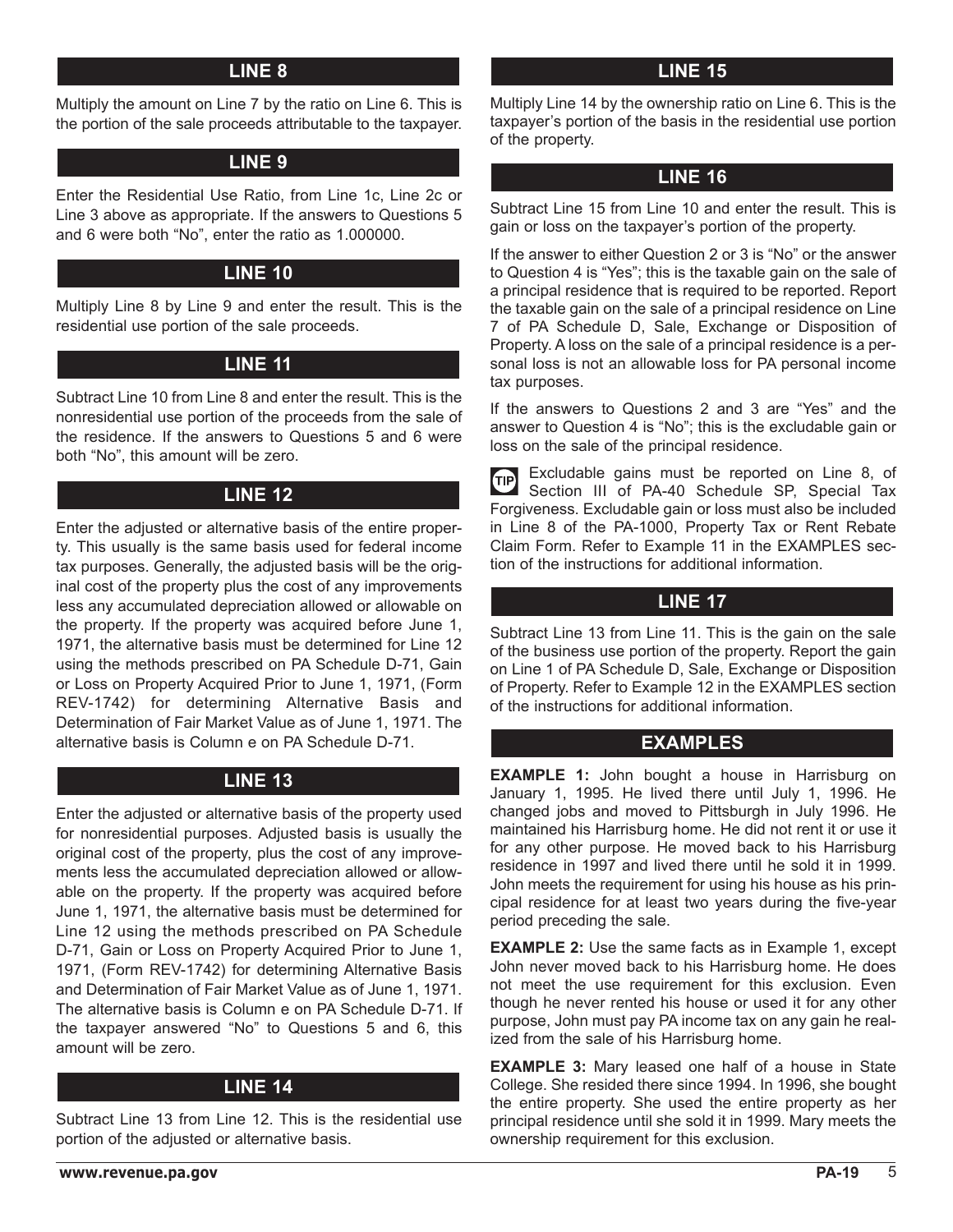### **LINE 8**

Multiply the amount on Line 7 by the ratio on Line 6. This is the portion of the sale proceeds attributable to the taxpayer.

### **LINE 9**

Enter the Residential Use Ratio, from Line 1c, Line 2c or Line 3 above as appropriate. If the answers to Questions 5 and 6 were both "No", enter the ratio as 1.000000.

# **LINE 10**

Multiply Line 8 by Line 9 and enter the result. This is the residential use portion of the sale proceeds.

# **LINE 11**

Subtract Line 10 from Line 8 and enter the result. This is the nonresidential use portion of the proceeds from the sale of the residence. If the answers to Questions 5 and 6 were both "No", this amount will be zero.

# **LINE 12**

Enter the adjusted or alternative basis of the entire property. This usually is the same basis used for federal income tax purposes. Generally, the adjusted basis will be the original cost of the property plus the cost of any improvements less any accumulated depreciation allowed or allowable on the property. If the property was acquired before June 1, 1971, the alternative basis must be determined for Line 12 using the methods prescribed on PA Schedule D-71, Gain or Loss on Property Acquired Prior to June 1, 1971, (Form REV-1742) for determining Alternative Basis and Determination of Fair Market Value as of June 1, 1971. The alternative basis is Column e on PA Schedule D-71.

# **LINE 13**

Enter the adjusted or alternative basis of the property used for nonresidential purposes. Adjusted basis is usually the original cost of the property, plus the cost of any improvements less the accumulated depreciation allowed or allowable on the property. If the property was acquired before June 1, 1971, the alternative basis must be determined for Line 12 using the methods prescribed on PA Schedule D-71, Gain or Loss on Property Acquired Prior to June 1, 1971, (Form REV-1742) for determining Alternative Basis and Determination of Fair Market Value as of June 1, 1971. The alternative basis is Column e on PA Schedule D-71. If the taxpayer answered "No" to Questions 5 and 6, this amount will be zero.

# **LINE 14**

Subtract Line 13 from Line 12. This is the residential use portion of the adjusted or alternative basis.

**www.revenue.pa.gov**

### **LINE 15**

Multiply Line 14 by the ownership ratio on Line 6. This is the taxpayer's portion of the basis in the residential use portion of the property.

# **LINE 16**

Subtract Line 15 from Line 10 and enter the result. This is gain or loss on the taxpayer's portion of the property.

If the answer to either Question 2 or 3 is "No" or the answer to Question 4 is "Yes"; this is the taxable gain on the sale of a principal residence that is required to be reported. Report the taxable gain on the sale of a principal residence on Line 7 of PA Schedule D, Sale, Exchange or Disposition of Property. A loss on the sale of a principal residence is a personal loss is not an allowable loss for PA personal income tax purposes.

If the answers to Questions 2 and 3 are "Yes" and the answer to Question 4 is "No"; this is the excludable gain or loss on the sale of the principal residence.

Excludable gains must be reported on Line 8, of  $\bigoplus$ Section III of PA-40 Schedule SP, Special Tax Forgiveness. Excludable gain or loss must also be included in Line 8 of the PA-1000, Property Tax or Rent Rebate Claim Form. Refer to Example 11 in the EXAMPLES section of the instructions for additional information.

# **LINE 17**

Subtract Line 13 from Line 11. This is the gain on the sale of the business use portion of the property. Report the gain on Line 1 of PA Schedule D, Sale, Exchange or Disposition of Property. Refer to Example 12 in the EXAMPLES section of the instructions for additional information.

# **EXAMPLES**

**EXAMPLE 1:** John bought a house in Harrisburg on January 1, 1995. He lived there until July 1, 1996. He changed jobs and moved to Pittsburgh in July 1996. He maintained his Harrisburg home. He did not rent it or use it for any other purpose. He moved back to his Harrisburg residence in 1997 and lived there until he sold it in 1999. John meets the requirement for using his house as his principal residence for at least two years during the five-year period preceding the sale.

**EXAMPLE 2:** Use the same facts as in Example 1, except John never moved back to his Harrisburg home. He does not meet the use requirement for this exclusion. Even though he never rented his house or used it for any other purpose, John must pay PA income tax on any gain he realized from the sale of his Harrisburg home.

**EXAMPLE 3:** Mary leased one half of a house in State College. She resided there since 1994. In 1996, she bought the entire property. She used the entire property as her principal residence until she sold it in 1999. Mary meets the ownership requirement for this exclusion.